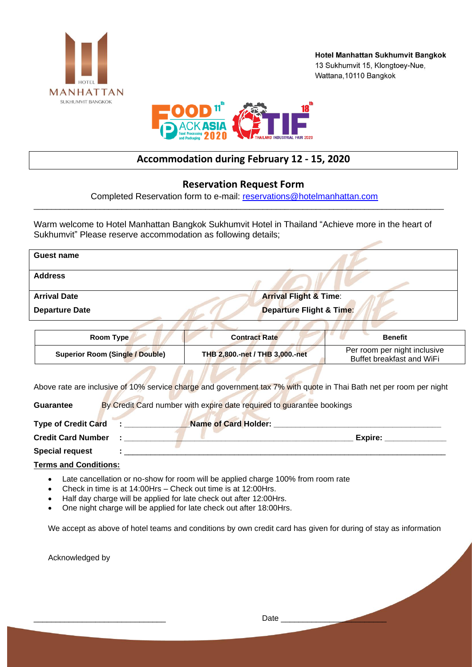



## **Accommodation during February 12 - 15, 2020**

## **Reservation Request Form**

Completed Reservation form to e-mail: [reservations@hotelmanhattan.com](mailto:reservations@hotelmanhattan.com) \_\_\_\_\_\_\_\_\_\_\_\_\_\_\_\_\_\_\_\_\_\_\_\_\_\_\_\_\_\_\_\_\_\_\_\_\_\_\_\_\_\_\_\_\_\_\_\_\_\_\_\_\_\_\_\_\_\_\_\_\_\_\_\_\_\_\_\_\_\_\_\_\_\_\_\_\_\_\_\_\_\_\_\_\_\_\_\_\_\_\_\_\_

Warm welcome to Hotel Manhattan Bangkok Sukhumvit Hotel in Thailand "Achieve more in the heart of Sukhumvit" Please reserve accommodation as following details;

| Guest name                                                                                                          |                                     |                                                           |
|---------------------------------------------------------------------------------------------------------------------|-------------------------------------|-----------------------------------------------------------|
| <b>Address</b>                                                                                                      |                                     |                                                           |
| <b>Arrival Date</b>                                                                                                 | <b>Arrival Flight &amp; Time:</b>   |                                                           |
| <b>Departure Date</b>                                                                                               | <b>Departure Flight &amp; Time:</b> |                                                           |
|                                                                                                                     |                                     |                                                           |
| Room Type                                                                                                           | <b>Contract Rate</b>                | <b>Benefit</b>                                            |
| <b>Superior Room (Single / Double)</b>                                                                              | THB 2,800.-net / THB 3,000.-net     | Per room per night inclusive<br>Buffet breakfast and WiFi |
| Above rate are inclusive of 10% service charge and government tax 7% with quote in Thai Bath net per room per night |                                     |                                                           |
| By Credit Card number with expire date required to guarantee bookings<br><b>Guarantee</b>                           |                                     |                                                           |
| <b>Type of Credit Card</b>                                                                                          | <b>Name of Card Holder:</b>         |                                                           |
| <b>Credit Card Number</b>                                                                                           |                                     | Expire:                                                   |

Special request

**Terms and Conditions:**

- Late cancellation or no-show for room will be applied charge 100% from room rate
- Check in time is at 14:00Hrs Check out time is at 12:00Hrs.
- Half day charge will be applied for late check out after 12:00Hrs.
- One night charge will be applied for late check out after 18:00Hrs.

We accept as above of hotel teams and conditions by own credit card has given for during of stay as information

Acknowledged by